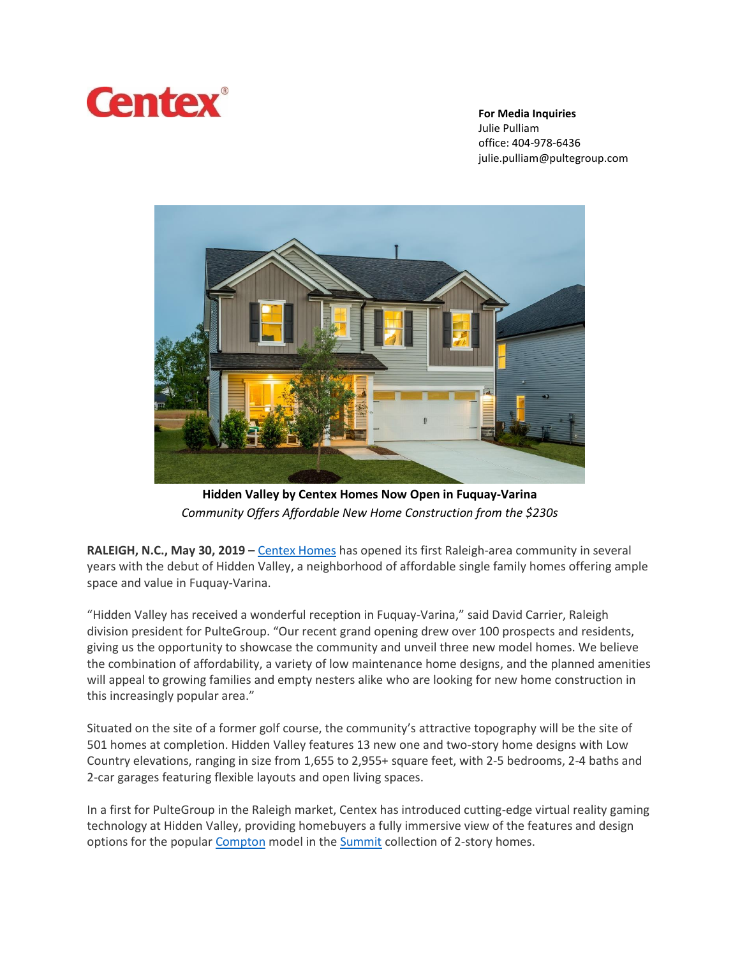

**For Media Inquiries**

Julie Pulliam office: 404-978-6436 julie.pulliam@pultegroup.com



**Hidden Valley by Centex Homes Now Open in Fuquay-Varina** *Community Offers Affordable New Home Construction from the \$230s*

**RALEIGH, N.C., May 30, 2019 –** [Centex Homes](https://www.centex.com/) has opened its first Raleigh-area community in several years with the debut of Hidden Valley, a neighborhood of affordable single family homes offering ample space and value in Fuquay-Varina.

"Hidden Valley has received a wonderful reception in Fuquay-Varina," said David Carrier, Raleigh division president for PulteGroup. "Our recent grand opening drew over 100 prospects and residents, giving us the opportunity to showcase the community and unveil three new model homes. We believe the combination of affordability, a variety of low maintenance home designs, and the planned amenities will appeal to growing families and empty nesters alike who are looking for new home construction in this increasingly popular area."

Situated on the site of a former golf course, the community's attractive topography will be the site of 501 homes at completion. Hidden Valley features 13 new one and two-story home designs with Low Country elevations, ranging in size from 1,655 to 2,955+ square feet, with 2-5 bedrooms, 2-4 baths and 2-car garages featuring flexible layouts and open living spaces.

In a first for PulteGroup in the Raleigh market, Centex has introduced cutting-edge virtual reality gaming technology at Hidden Valley, providing homebuyers a fully immersive view of the features and design options for the popular [Compton](https://www.centex.com/homes/north-carolina/raleigh/fuquay-varina/hidden-valley-210133/compton-689240) model in th[e Summit](https://www.centex.com/homes/north-carolina/raleigh/fuquay-varina/hidden-valley-210133#Summit-) collection of 2-story homes.